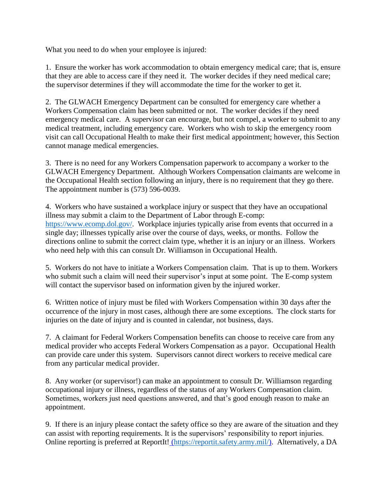What you need to do when your employee is injured:

1. Ensure the worker has work accommodation to obtain emergency medical care; that is, ensure that they are able to access care if they need it. The worker decides if they need medical care; the supervisor determines if they will accommodate the time for the worker to get it.

2. The GLWACH Emergency Department can be consulted for emergency care whether a Workers Compensation claim has been submitted or not. The worker decides if they need emergency medical care. A supervisor can encourage, but not compel, a worker to submit to any medical treatment, including emergency care. Workers who wish to skip the emergency room visit can call Occupational Health to make their first medical appointment; however, this Section cannot manage medical emergencies.

3. There is no need for any Workers Compensation paperwork to accompany a worker to the GLWACH Emergency Department. Although Workers Compensation claimants are welcome in the Occupational Health section following an injury, there is no requirement that they go there. The appointment number is (573) 596-0039.

4. Workers who have sustained a workplace injury or suspect that they have an occupational illness may submit a claim to the Department of Labor through E-comp: [https://www.ecomp.dol.gov/.](https://www.ecomp.dol.gov/) Workplace injuries typically arise from events that occurred in a single day; illnesses typically arise over the course of days, weeks, or months. Follow the directions online to submit the correct claim type, whether it is an injury or an illness. Workers who need help with this can consult Dr. Williamson in Occupational Health.

5. Workers do not have to initiate a Workers Compensation claim. That is up to them. Workers who submit such a claim will need their supervisor's input at some point. The E-comp system will contact the supervisor based on information given by the injured worker.

6. Written notice of injury must be filed with Workers Compensation within 30 days after the occurrence of the injury in most cases, although there are some exceptions. The clock starts for injuries on the date of injury and is counted in calendar, not business, days.

7. A claimant for Federal Workers Compensation benefits can choose to receive care from any medical provider who accepts Federal Workers Compensation as a payor. Occupational Health can provide care under this system. Supervisors cannot direct workers to receive medical care from any particular medical provider.

8. Any worker (or supervisor!) can make an appointment to consult Dr. Williamson regarding occupational injury or illness, regardless of the status of any Workers Compensation claim. Sometimes, workers just need questions answered, and that's good enough reason to make an appointment.

9. If there is an injury please contact the safety office so they are aware of the situation and they can assist with reporting requirements. It is the supervisors' responsibility to report injuries. Online reporting is preferred at [ReportIt!](https://reportit.safety.army.mil/) [\(https://reportit.safety.army.mil/\)](https://reportit.safety.army.mil/). Alternatively, a DA